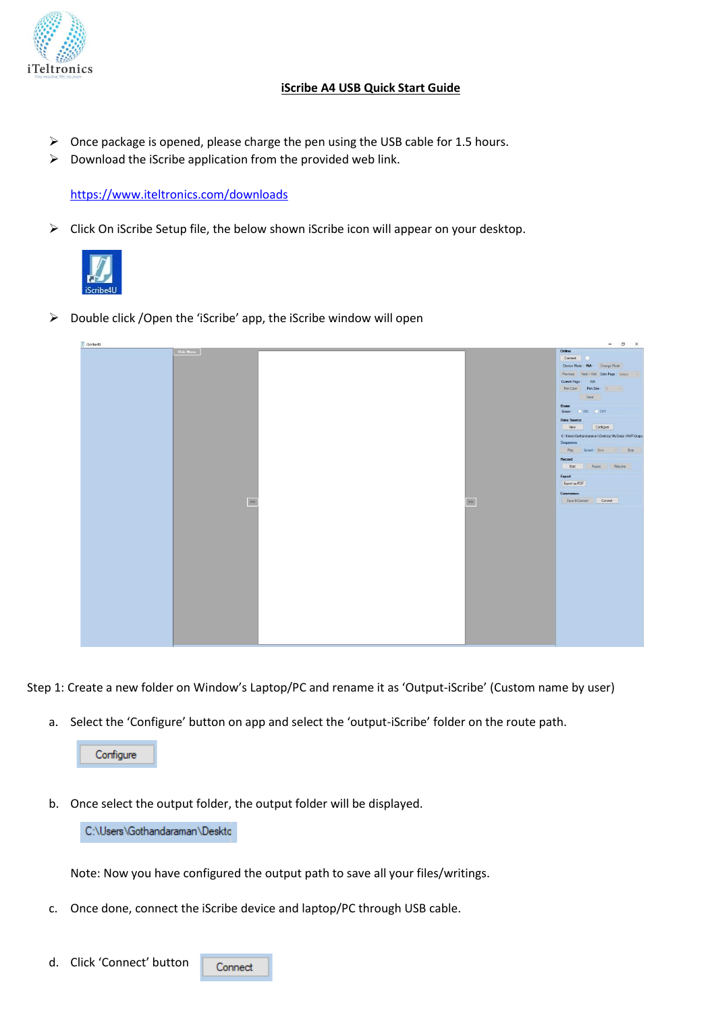

## **iScribe A4 USB Quick Start Guide**

- ➢ Once package is opened, please charge the pen using the USB cable for 1.5 hours.
- $\triangleright$  Download the iScribe application from the provided web link.

<https://www.iteltronics.com/downloads>

➢ Click On iScribe Setup file, the below shown iScribe icon will appear on your desktop.



➢ Double click /Open the 'iScribe' app, the iScribe window will open



Step 1: Create a new folder on Window's Laptop/PC and rename it as 'Output-iScribe' (Custom name by user)

a. Select the 'Configure' button on app and select the 'output-iScribe' folder on the route path.

Configure

b. Once select the output folder, the output folder will be displayed.

C:\Users\Gothandaraman\Deskto

Note: Now you have configured the output path to save all your files/writings.

c. Once done, connect the iScribe device and laptop/PC through USB cable.

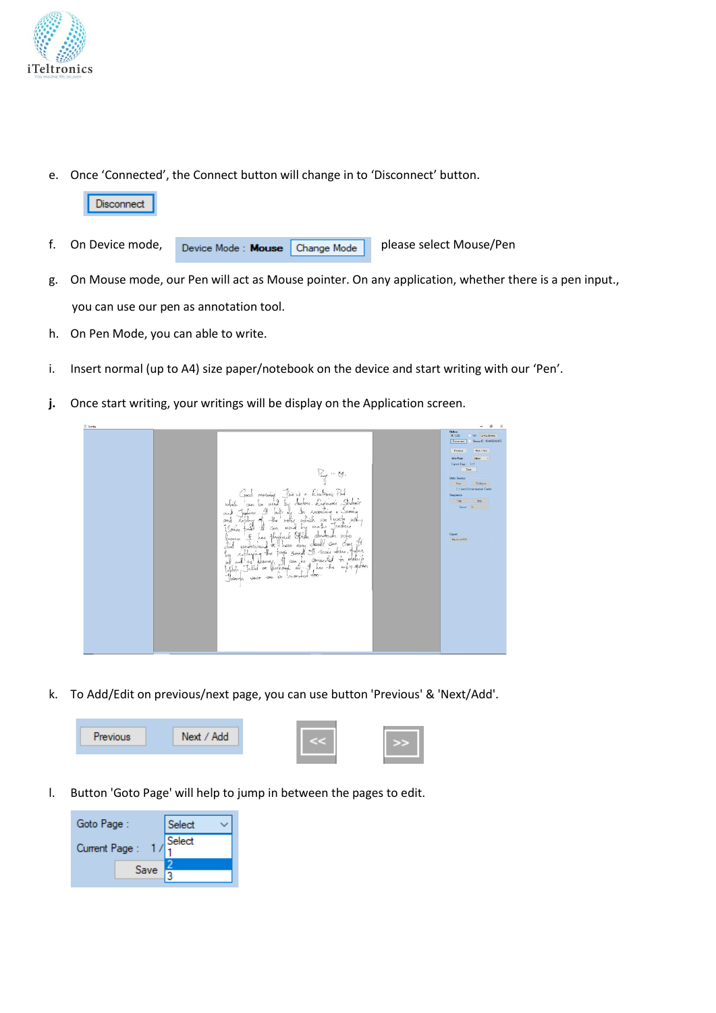

e. Once 'Connected', the Connect button will change in to 'Disconnect' button.



- g. On Mouse mode, our Pen will act as Mouse pointer. On any application, whether there is a pen input., you can use our pen as annotation tool.
- h. On Pen Mode, you can able to write.
- i. Insert normal (up to A4) size paper/notebook on the device and start writing with our 'Pen'.
- **j.** Once start writing, your writings will be display on the Application screen.



k. To Add/Edit on previous/next page, you can use button 'Previous' & 'Next/Add'.



l. Button 'Goto Page' will help to jump in between the pages to edit.

| Goto Page:    |      | Select |
|---------------|------|--------|
| Current Page: |      | Select |
|               | Save |        |
|               |      |        |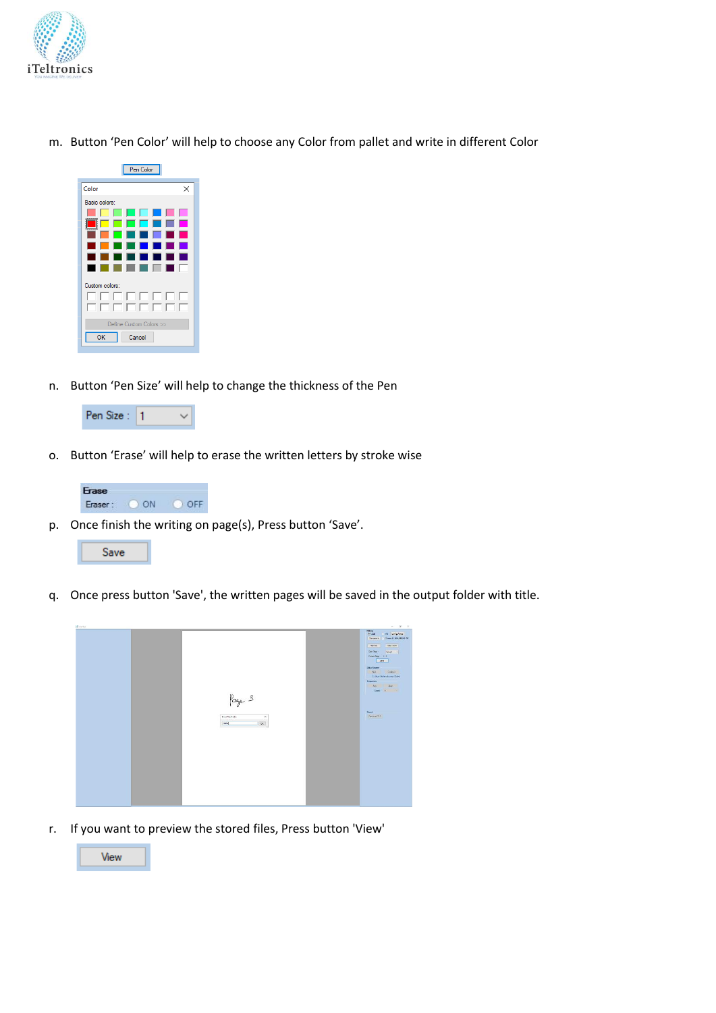

m. Button 'Pen Color' will help to choose any Color from pallet and write in different Color



n. Button 'Pen Size' will help to change the thickness of the Pen



o. Button 'Erase' will help to erase the written letters by stroke wise



p. Once finish the writing on page(s), Press button 'Save'.

Save

q. Once press button 'Save', the written pages will be saved in the output folder with title.



r. If you want to preview the stored files, Press button 'View'

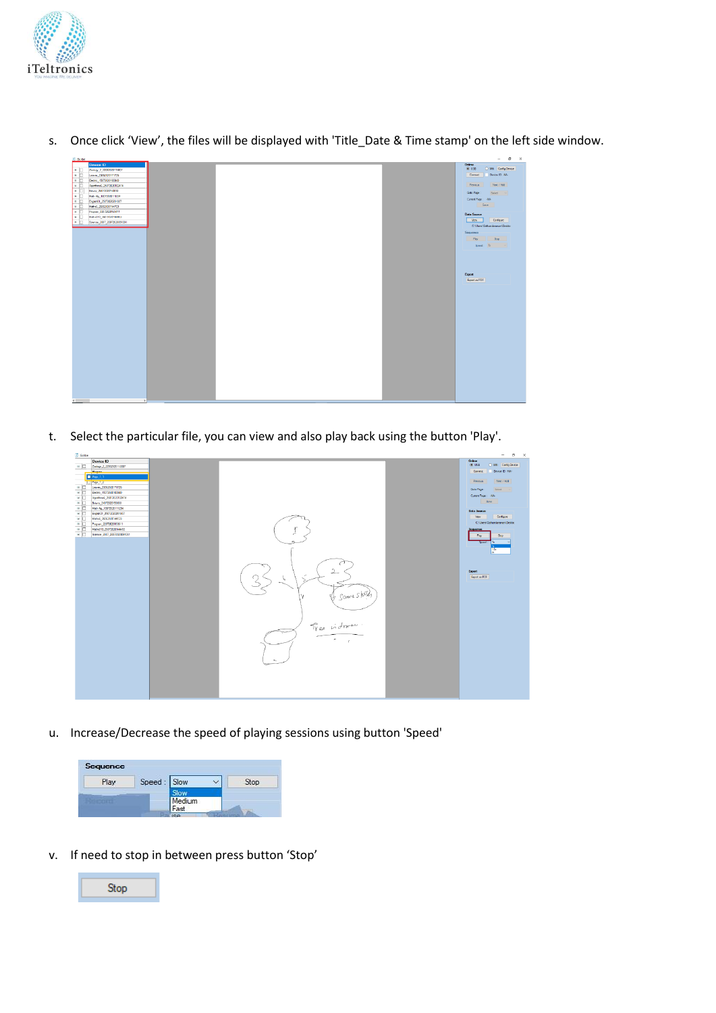

- -<br>Milli Corfig<br>- Device ID N  $H = 1.14$ Export<br>Fenet as PDI
- s. Once click 'View', the files will be displayed with 'Title\_Date & Time stamp' on the left side window.

t. Select the particular file, you can view and also play back using the button 'Play'.

| Oritne<br>Device ID<br>$@$ USB<br>O Will Config Device<br>□ Zoology_2_22062020113807<br>Device ID: NA-<br><b>Daniel</b><br>Connect<br>Page 1.1<br>Net / Add<br>Previous<br>Li Pape 12<br>□ Leaves_23062020171726<br>Select $\sim$<br>Goto Page:<br>$\overline{B}$<br>Bectro_15072020100840<br>Current Page : 466<br>$\blacksquare$<br>Apothreak 25072020102414<br>Sava 1<br>$\blacksquare$<br>Botany_24072020150830                             |
|-------------------------------------------------------------------------------------------------------------------------------------------------------------------------------------------------------------------------------------------------------------------------------------------------------------------------------------------------------------------------------------------------------------------------------------------------|
| $\blacksquare$<br>Math Alg., 13072020111234<br>Data Source<br>R C 6ngleh01_25072020201807<br>Configure<br>Wew.<br>$\blacksquare$<br>Mahi6 28062020144723<br>C:\Users\Gothandaraman\Deskto<br>※ 22072020153611<br>$\overline{1}$<br>Maths010_20072020144453<br><b>Sequence</b><br>$\blacksquare$<br>Science 2007 20072020091031<br>Shop<br>Flay<br>Sport<br>154<br>ь.<br>2<br>Export<br><b>Boot as PDF</b><br>v<br>SOURL Shotely<br>Free indram. |

u. Increase/Decrease the speed of playing sessions using button 'Speed'



v. If need to stop in between press button 'Stop'

Stop